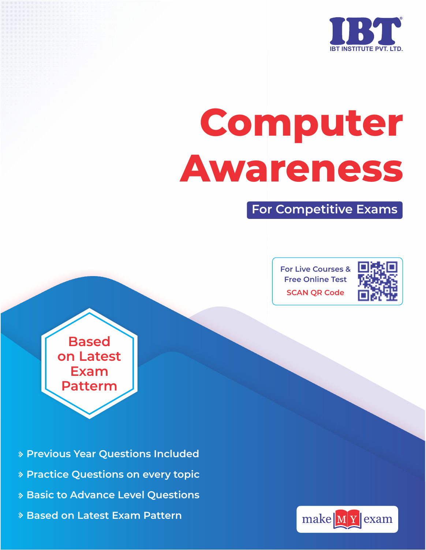

# **Computer Awareness**

**For Competitive Exams**

**For Live Courses & Free Online Test SCAN QR Code**



**Based on Latest Exam Patterm**

- **Previous Year Questions Included**
- **Practice Questions on every topic**
- **Basic to Advance Level Questions**
- **Based on Latest Exam Pattern**

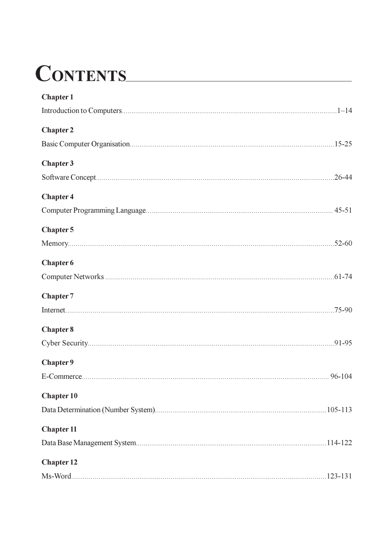## CONTENTS

| <b>Chapter 1</b>  |              |
|-------------------|--------------|
|                   |              |
| <b>Chapter 2</b>  |              |
|                   |              |
| <b>Chapter 3</b>  |              |
|                   |              |
| <b>Chapter 4</b>  |              |
|                   |              |
| Chapter 5         |              |
|                   |              |
| <b>Chapter 6</b>  |              |
|                   |              |
| <b>Chapter 7</b>  |              |
|                   | $.75 - 90$   |
| <b>Chapter 8</b>  |              |
|                   |              |
| Chapter 9         |              |
|                   |              |
| <b>Chapter 10</b> |              |
|                   | $.105 - 113$ |
| <b>Chapter 11</b> |              |
|                   |              |
| <b>Chapter 12</b> |              |
|                   | $.123 - 131$ |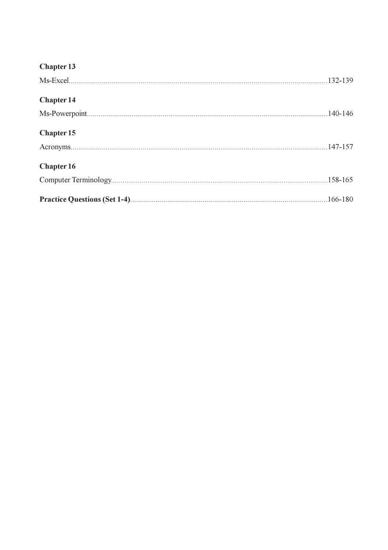| <b>Chapter 13</b> |  |
|-------------------|--|
|                   |  |
| <b>Chapter 14</b> |  |
|                   |  |
| <b>Chapter 15</b> |  |
|                   |  |
| <b>Chapter 16</b> |  |
|                   |  |
|                   |  |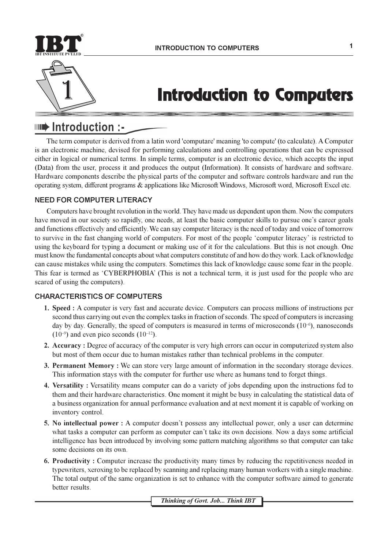

### **Introduction to Computers**

#### **IIIIIIIII** Introduction :-

The term computer is derived from a latin word 'computare' meaning 'to compute' (to calculate). A Computer is an electronic machine, devised for performing calculations and controlling operations that can be expressed either in logical or numerical terms. In simple terms, computer is an electronic device, which accepts the input (Data) from the user, process it and produces the output (Information). It consists of hardware and software. Hardware components describe the physical parts of the computer and software controls hardware and run the operating system, different programs & applications like Microsoft Windows, Microsoft word, Microsoft Excel etc.

#### **NEED FOR COMPUTER LITERACY**

Computers have brought revolution in the world. They have made us dependent upon them. Now the computers have moved in our society so rapidly, one needs, at least the basic computer skills to pursue one's career goals and functions effectively and efficiently. We can say computer literacy is the need of today and voice of tomorrow to survive in the fast changing world of computers. For most of the people 'computer literacy' is restricted to using the keyboard for typing a document or making use of it for the calculations. But this is not enough. One must know the fundamental concepts about what computers constitute of and how do they work. Lack of knowledge can cause mistakes while using the computers. Sometimes this lack of knowledge cause some fear in the people. This fear is termed as 'CYBERPHOBIA' (This is not a technical term, it is just used for the people who are scared of using the computers).

#### **CHARACTERISTICS OF COMPUTERS**

- 1. Speed : A computer is very fast and accurate device. Computers can process millions of instructions per second thus carrying out even the complex tasks in fraction of seconds. The speed of computers is increasing day by day. Generally, the speed of computers is measured in terms of microseconds  $(10^{-6})$ , nanoseconds  $(10^{-9})$  and even pico seconds  $(10^{-12})$ .
- 2. Accuracy: Degree of accuracy of the computer is very high errors can occur in computerized system also but most of them occur due to human mistakes rather than technical problems in the computer.
- 3. Permanent Memory: We can store very large amount of information in the secondary storage devices. This information stays with the computer for further use where as humans tend to forget things.
- 4. Versatility: Versatility means computer can do a variety of jobs depending upon the instructions fed to them and their hardware characteristics. One moment it might be busy in calculating the statistical data of a business organization for annual performance evaluation and at next moment it is capable of working on inventory control.
- 5. No intellectual power: A computer doesn't possess any intellectual power, only a user can determine what tasks a computer can perform as computer can't take its own decisions. Now a days some artificial intelligence has been introduced by involving some pattern matching algorithms so that computer can take some decisions on its own.
- 6. Productivity: Computer increase the productivity many times by reducing the repetitiveness needed in typewriters, xeroxing to be replaced by scanning and replacing many human workers with a single machine. The total output of the same organization is set to enhance with the computer software aimed to generate better results.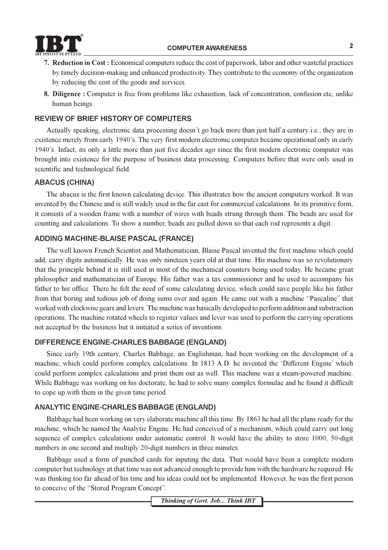

- 7. Reduction in Cost: Economical computers reduce the cost of paperwork, labor and other wasteful practices by timely decision-making and enhanced productivity. They contribute to the economy of the organization by reducing the cost of the goods and services.
- 8. Diligence : Computer is free from problems like exhaustion, lack of concentration, confusion etc, unlike human beings.

#### **REVIEW OF BRIEF HISTORY OF COMPUTERS**

Actually speaking, electronic data processing doesn't go back more than just half a century i.e., they are in existence merely from early 1940's. The very first modern electronic computer became operational only in early 1940's. Infact, its only a little more than just five decades ago since the first modern electronic computer was brought into existence for the purpose of business data processing. Computers before that were only used in scientific and technological field.

#### **ABACUS (CHINA)**

The abacus is the first known calculating device. This illustrates how the ancient computers worked. It was invented by the Chinese and is still widely used in the far east for commercial calculations. In its primitive form, it consists of a wooden frame with a number of wires with beads strung through them. The beads are used for counting and calculations. To show a number, beads are pulled down so that each rod represents a digit.

#### **ADDING MACHINE-BLAISE PASCAL (FRANCE)**

The well known French Scientist and Mathematician, Blaise Pascal invented the first machine which could add, carry digits automatically. He was only nineteen years old at that time. His machine was so revolutionary that the principle behind it is still used in most of the mechanical counters being used today. He became great philosopher and mathematician of Europe. His father was a tax commissioner and he used to accompany his father to his office. There he felt the need of some calculating device, which could save people like his father from that boring and tedious job of doing sums over and again. He came out with a machine "Pascaline" that worked with clockwise gears and levers. The machine was basically developed to perform addition and substraction operations. The machine rotated wheels to register values and lever was used to perform the carrying operations not accepted by the business but it initiated a series of inventions.

#### DIFFERENCE ENGINE-CHARLES BABBAGE (ENGLAND)

Since early 19th century, Charles Babbage, an Englishman, had been working on the development of a machine, which could perform complex calculations. In 1813 A.D. he invented the 'Different Engine' which could perform complex calculations and print them out as well. This machine was a steam-powered machine. While Babbage was working on his doctorate, he had to solve many complex formulae and he found it difficult to cope up with them in the given time period.

#### **ANALYTIC ENGINE-CHARLES BABBAGE (ENGLAND)**

Babbage had been working on very elaborate machine all this time. By 1863 he had all the plans ready for the machine, which he named the Analytic Engine. He had conceived of a mechanism, which could carry out long sequence of complex calculations under automatic control. It would have the ability to store 1000, 50-digit numbers in one second and multiply 20-digit numbers in three minutes.

Babbage used a form of punched cards for inputing the data. That would have been a complete modern computer but technology at that time was not advanced enough to provide him with the hardware he required. He was thinking too far ahead of his time and his ideas could not be implemented. However, he was the first person to conceive of the "Stored Program Concept".

Thinking of Govt. Job... Think IBT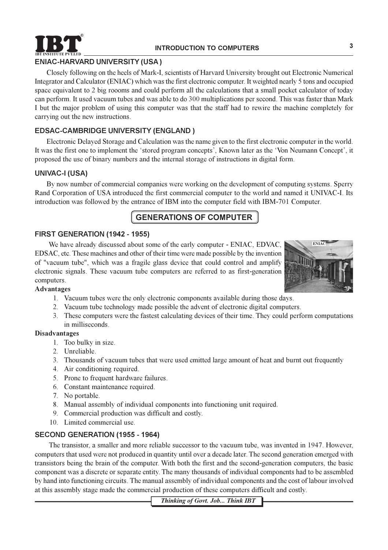

#### **ENIAC-HARVARD UNIVERSITY (USA)**

Closely following on the heels of Mark-I, scientists of Harvard University brought out Electronic Numerical Integrator and Calculator (ENIAC) which was the first electronic computer. It weighted nearly 5 tons and occupied space equivalent to 2 big roooms and could perform all the calculations that a small pocket calculator of today can perform. It used vacuum tubes and was able to do 300 multiplications per second. This was faster than Mark I but the major problem of using this computer was that the staff had to rewire the machine completely for carrying out the new instructions.

#### **EDSAC-CAMBRIDGE UNIVERSITY (ENGLAND)**

Electronic Delayed Storage and Calculation was the name given to the first electronic computer in the world. It was the first one to implement the 'stored program concepts', Known later as the 'Von Neumann Concept', it proposed the use of binary numbers and the internal storage of instructions in digital form.

#### **UNIVAC-I (USA)**

By now number of commercial companies were working on the development of computing systems. Sperry Rand Corporation of USA introduced the first commercial computer to the world and named it UNIVAC-I. Its introduction was followed by the entrance of IBM into the computer field with IBM-701 Computer.

#### **GENERATIONS OF COMPUTER**

#### FIRST GENERATION (1942 - 1955)

We have already discussed about some of the early computer - ENIAC, EDVAC, EDSAC, etc. These machines and other of their time were made possible by the invention of "vacuum tube", which was a fragile glass device that could control and amplify electronic signals. These vacuum tube computers are referred to as first-generation computers.



#### **Advantages**

- 1. Vacuum tubes were the only electronic components available during those days.
- 2. Vacuum tube technology made possible the advent of electronic digital computers.
- 3. These computers were the fastest calculating devices of their time. They could perform computations in milliseconds.

#### **Disadvantages**

- 1. Too bulky in size.
- 2. Unreliable.
- 3. Thousands of vacuum tubes that were used emitted large amount of heat and burnt out frequently
- 4. Air conditioning required.
- 5. Prone to frequent hardware failures.
- 6. Constant maintenance required.
- 7. No portable.
- 8. Manual assembly of individual components into functioning unit required.
- 9. Commercial production was difficult and costly.
- 10. Limited commercial use.

#### SECOND GENERATION (1955 - 1964)

The transistor, a smaller and more reliable successor to the vacuum tube, was invented in 1947. However, computers that used were not produced in quantity until over a decade later. The second generation emerged with transistors being the brain of the computer. With both the first and the second-generation computers, the basic component was a discrete or separate entity. The many thousands of individual components had to be assembled by hand into functioning circuits. The manual assembly of individual components and the cost of labour involved at this assembly stage made the commercial production of these computers difficult and costly.

Thinking of Govt. Job... Think IBT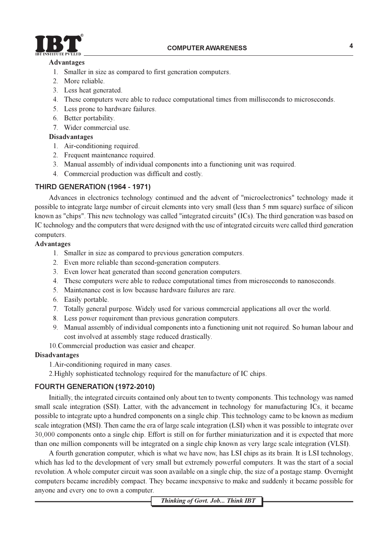

#### **Advantages**

- 1. Smaller in size as compared to first generation computers.
- 2. More reliable.
- 3. Less heat generated.
- 4. These computers were able to reduce computational times from milliseconds to microseconds.
- 5. Less prone to hardware failures.
- 6. Better portability.
- 7. Wider commercial use.

#### **Disadvantages**

- 1. Air-conditioning required.
- 2. Frequent maintenance required.
- 3. Manual assembly of individual components into a functioning unit was required.
- 4. Commercial production was difficult and costly.

#### THIRD GENERATION (1964 - 1971)

Advances in electronics technology continued and the advent of "microelectronics" technology made it possible to integrate large number of circuit elements into very small (less than 5 mm square) surface of silicon known as "chips". This new technology was called "integrated circuits" (ICs). The third generation was based on IC technology and the computers that were designed with the use of integrated circuits were called third generation computers.

#### **Advantages**

- 1. Smaller in size as compared to previous generation computers.
- 2. Even more reliable than second-generation computers.
- 3. Even lower heat generated than second generation computers.
- 4. These computers were able to reduce computational times from microseconds to nanoseconds.
- 5. Maintenance cost is low because hardware failures are rare.
- 6. Easily portable.
- 7. Totally general purpose. Widely used for various commercial applications all over the world.
- 8. Less power requirement than previous generation computers.
- 9. Manual assembly of individual components into a functioning unit not required. So human labour and cost involved at assembly stage reduced drastically.

10. Commercial production was easier and cheaper.

#### **Disadvantages**

1. Air-conditioning required in many cases.

2. Highly sophisticated technology required for the manufacture of IC chips.

#### FOURTH GENERATION (1972-2010)

Initially, the integrated circuits contained only about ten to twenty components. This technology was named small scale integration (SSI). Latter, with the advancement in technology for manufacturing ICs, it became possible to integrate upto a hundred components on a single chip. This technology came to be known as medium scale integration (MSI). Then came the era of large scale integration (LSI) when it was possible to integrate over 30,000 components onto a single chip. Effort is still on for further miniaturization and it is expected that more than one million components will be integrated on a single chip known as very large scale integration (VLSI).

A fourth generation computer, which is what we have now, has LSI chips as its brain. It is LSI technology, which has led to the development of very small but extremely powerful computers. It was the start of a social revolution. A whole computer circuit was soon available on a single chip, the size of a postage stamp. Overnight computers became incredibly compact. They became inexpensive to make and suddenly it became possible for anyone and every one to own a computer.

Thinking of Govt. Job... Think IBT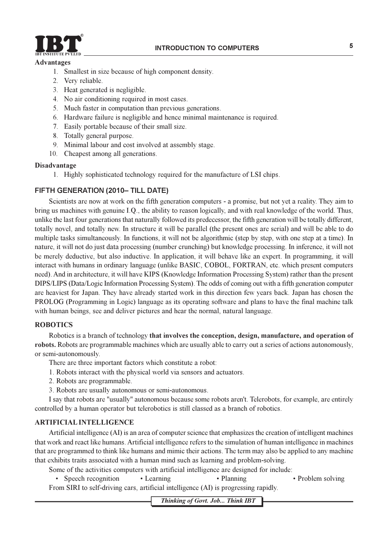

#### **Advantages**

- 1. Smallest in size because of high component density.
- 2. Very reliable.
- 3. Heat generated is negligible.
- 4. No air conditioning required in most cases.
- 5. Much faster in computation than previous generations.
- 6. Hardware failure is negligible and hence minimal maintenance is required.
- 7. Easily portable because of their small size.
- 8. Totally general purpose.
- 9. Minimal labour and cost involved at assembly stage.
- 10. Cheapest among all generations.

#### Disadvantage

1. Highly sophisticated technology required for the manufacture of LSI chips.

#### FIFTH GENERATION (2010-TILL DATE)

Scientists are now at work on the fifth generation computers - a promise, but not yet a reality. They aim to bring us machines with genuine I.Q., the ability to reason logically, and with real knowledge of the world. Thus, unlike the last four generations that naturally followed its predecessor, the fifth generation will be totally different. totally novel, and totally new. In structure it will be parallel (the present ones are serial) and will be able to do multiple tasks simultaneously. In functions, it will not be algorithmic (step by step, with one step at a time). In nature, it will not do just data processing (number crunching) but knowledge processing. In inference, it will not be merely deductive, but also inductive. In application, it will behave like an expert. In programming, it will interact with humans in ordinary language (unlike BASIC, COBOL, FORTRAN, etc. which present computers need). And in architecture, it will have KIPS (Knowledge Information Processing System) rather than the present DIPS/LIPS (Data/Logic Information Processing System). The odds of coming out with a fifth generation computer are heaviest for Japan. They have already started work in this direction few years back. Japan has chosen the PROLOG (Programming in Logic) language as its operating software and plans to have the final machine talk with human beings, see and deliver pictures and hear the normal, natural language.

#### **ROBOTICS**

Robotics is a branch of technology that involves the conception, design, manufacture, and operation of robots. Robots are programmable machines which are usually able to carry out a series of actions autonomously, or semi-autonomously.

There are three important factors which constitute a robot:

- 1. Robots interact with the physical world via sensors and actuators.
- 2. Robots are programmable.
- 3. Robots are usually autonomous or semi-autonomous.

I say that robots are "usually" autonomous because some robots aren't. Telerobots, for example, are entirely controlled by a human operator but telerobotics is still classed as a branch of robotics.

#### **ARTIFICIAL INTELLIGENCE**

Artificial intelligence (AI) is an area of computer science that emphasizes the creation of intelligent machines that work and react like humans. Artificial intelligence refers to the simulation of human intelligence in machines that are programmed to think like humans and mimic their actions. The term may also be applied to any machine that exhibits traits associated with a human mind such as learning and problem-solving.

- Some of the activities computers with artificial intelligence are designed for include:
	- Speech recognition • Learning • Planning

• Problem solving

From SIRI to self-driving cars, artificial intelligence (AI) is progressing rapidly.